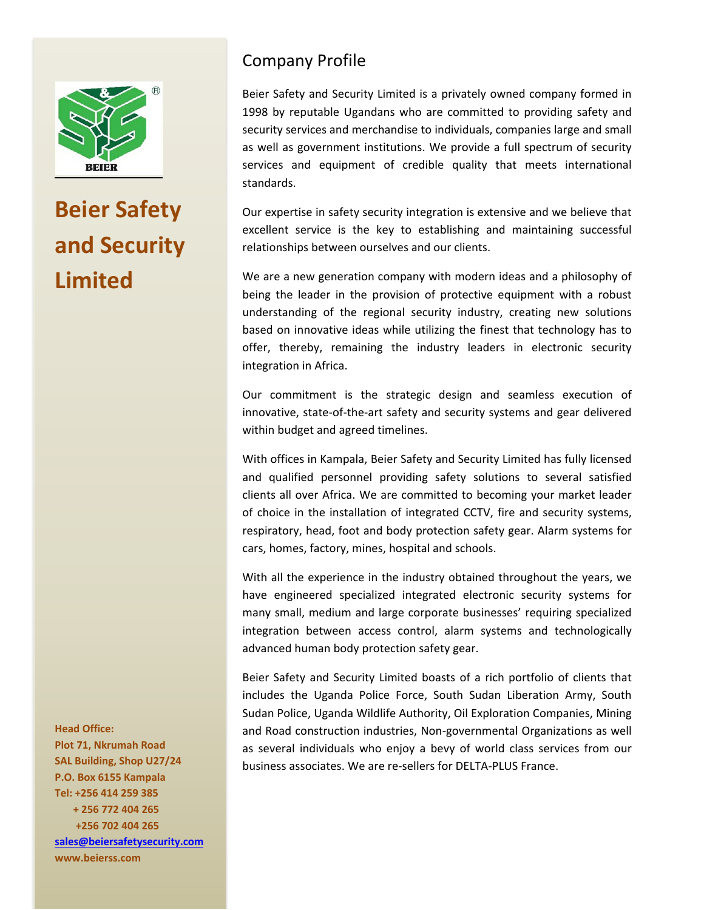

## **Beier Safety and Security Limited**

## Company Profile

Beier Safety and Security Limited is a privately owned company formed in 1998 by reputable Ugandans who are committed to providing safety and security services and merchandise to individuals, companies large and small as well as government institutions. We provide a full spectrum of security services and equipment of credible quality that meets international standards.

Our expertise in safety security integration is extensive and we believe that excellent service is the key to establishing and maintaining successful relationships between ourselves and our clients.

We are a new generation company with modern ideas and a philosophy of being the leader in the provision of protective equipment with a robust understanding of the regional security industry, creating new solutions based on innovative ideas while utilizing the finest that technology has to offer, thereby, remaining the industry leaders in electronic security integration in Africa.

Our commitment is the strategic design and seamless execution of innovative, state-of-the-art safety and security systems and gear delivered within budget and agreed timelines.

With offices in Kampala, Beier Safety and Security Limited has fully licensed and qualified personnel providing safety solutions to several satisfied clients all over Africa. We are committed to becoming your market leader of choice in the installation of integrated CCTV, fire and security systems, respiratory, head, foot and body protection safety gear. Alarm systems for cars, homes, factory, mines, hospital and schools.

With all the experience in the industry obtained throughout the years, we have engineered specialized integrated electronic security systems for many small, medium and large corporate businesses' requiring specialized integration between access control, alarm systems and technologically advanced human body protection safety gear.

Beier Safety and Security Limited boasts of a rich portfolio of clients that includes the Uganda Police Force, South Sudan Liberation Army, South Sudan Police, Uganda Wildlife Authority, Oil Exploration Companies, Mining and Road construction industries, Non‐governmental Organizations as well as several individuals who enjoy a bevy of world class services from our business associates. We are re‐sellers for DELTA‐PLUS France.

**Plot 71, Nkrumah Road SAL Building, Shop U27/24 P.O. Box 6155 Kampala Tel: +256 414 259 385 + 256 772 404 265 +256 702 404 265 sales@beiersafetysecurity.com**

**www.beierss.com**

**Head Office:**